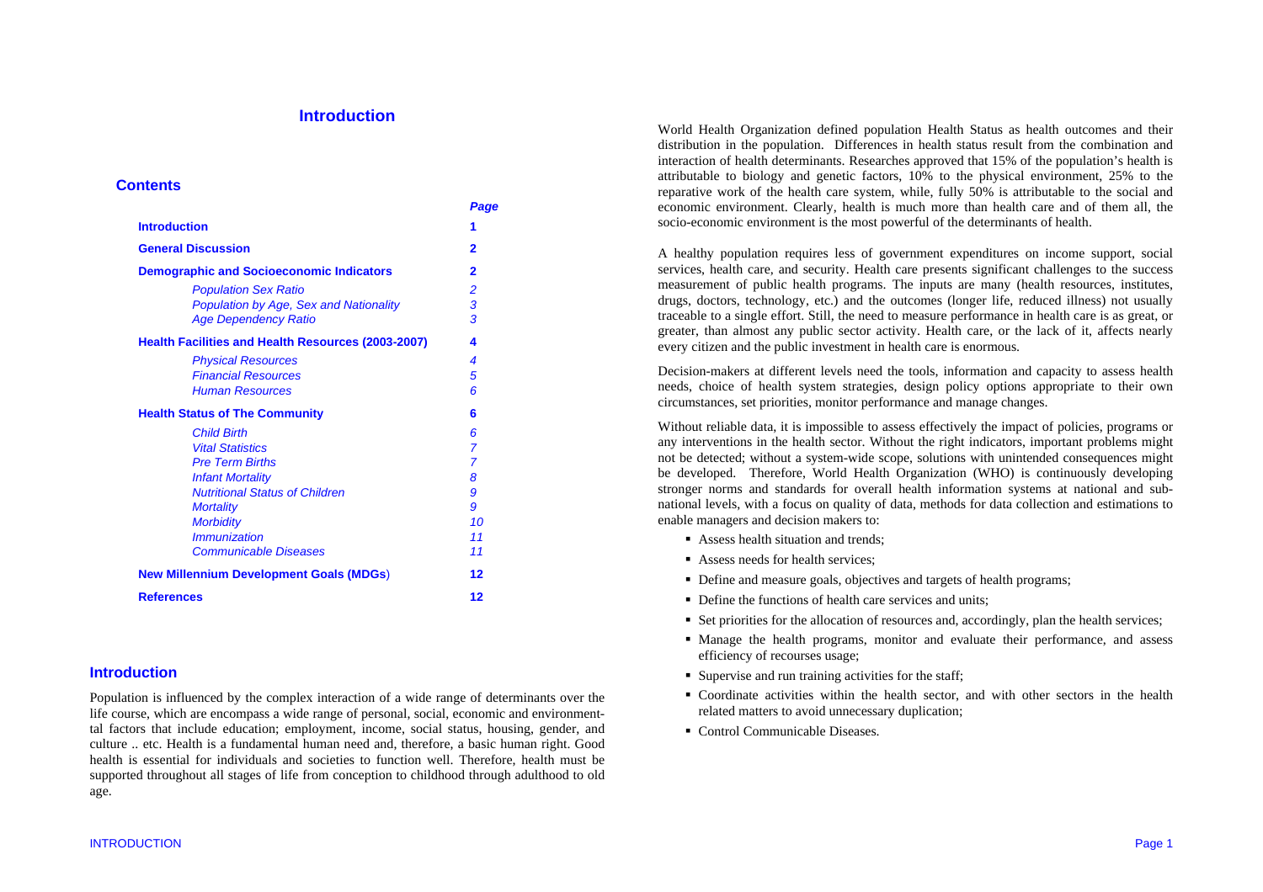## **Introduction**

## **Contents**

|                                                           | Page           |
|-----------------------------------------------------------|----------------|
| <b>Introduction</b>                                       | 1              |
| <b>General Discussion</b>                                 | 2              |
| <b>Demographic and Socioeconomic Indicators</b>           | 2              |
| <b>Population Sex Ratio</b>                               | 2              |
| Population by Age, Sex and Nationality                    | 3              |
| <b>Age Dependency Ratio</b>                               | 3              |
| <b>Health Facilities and Health Resources (2003-2007)</b> | 4              |
| <b>Physical Resources</b>                                 | 4              |
| <b>Financial Resources</b>                                | 5              |
| <b>Human Resources</b>                                    | ĥ              |
| <b>Health Status of The Community</b>                     | 6              |
| <b>Child Birth</b>                                        | 6              |
| <b>Vital Statistics</b>                                   | $\overline{7}$ |
| <b>Pre Term Births</b>                                    | $\overline{7}$ |
| <b>Infant Mortality</b>                                   | 8              |
| <b>Nutritional Status of Children</b>                     | 9              |
| <b>Mortality</b>                                          | 9              |
| <b>Morbidity</b>                                          | 10             |
| <i><b>Immunization</b></i>                                | 11             |
| <b>Communicable Diseases</b>                              | 11             |
| <b>New Millennium Development Goals (MDGs)</b>            | 12             |
| <b>References</b>                                         | 12             |

## **Introduction**

Population is influenced by the complex interaction of a wide range of determinants over the life course, which are encompass a wide range of personal, social, economic and environmenttal factors that include education; employment, income, social status, housing, gender, and culture .. etc. Health is a fundamental human need and, therefore, a basic human right. Good health is essential for individuals and societies to function well. Therefore, health must be supported throughout all stages of life from conception to childhood through adulthood to old age.

World Health Organization defined population Health Status as health outcomes and their distribution in the population. Differences in health status result from the combination and interaction of health determinants. Researches approved that 15% of the population's health is attributable to biology and genetic factors, 10% to the physical environment, 25% to the reparative work of the health care system, while, fully 50% is attributable to the social and economic environment. Clearly, health is much more than health care and of them all, the socio-economic environment is the most powerful of the determinants of health.

A healthy population requires less of government expenditures on income support, social services, health care, and security. Health care presents significant challenges to the success measurement of public health programs. The inputs are many (health resources, institutes, drugs, doctors, technology, etc.) and the outcomes (longer life, reduced illness) not usually traceable to a single effort. Still, the need to measure performance in health care is as great, or greater, than almost any public sector activity. Health care, or the lack of it, affects nearly every citizen and the public investment in health care is enormous.

Decision-makers at different levels need the tools, information and capacity to assess health needs, choice of health system strategies, design policy options appropriate to their own circumstances, set priorities, monitor performance and manage changes.

Without reliable data, it is impossible to assess effectively the impact of policies, programs or any interventions in the health sector. Without the right indicators, important problems might not be detected; without a system-wide scope, solutions with unintended consequences might be developed. Therefore, World Health Organization (WHO) is continuously developing stronger norms and standards for overall health information systems at national and subnational levels, with a focus on quality of data, methods for data collection and estimations to enable managers and decision makers to:

- Assess health situation and trends;
- Assess needs for health services;
- Define and measure goals, objectives and targets of health programs;
- Define the functions of health care services and units;
- Set priorities for the allocation of resources and, accordingly, plan the health services;
- Manage the health programs, monitor and evaluate their performance, and assess efficiency of recourses usage;
- Supervise and run training activities for the staff;
- Coordinate activities within the health sector, and with other sectors in the health related matters to avoid unnecessary duplication;
- Control Communicable Diseases.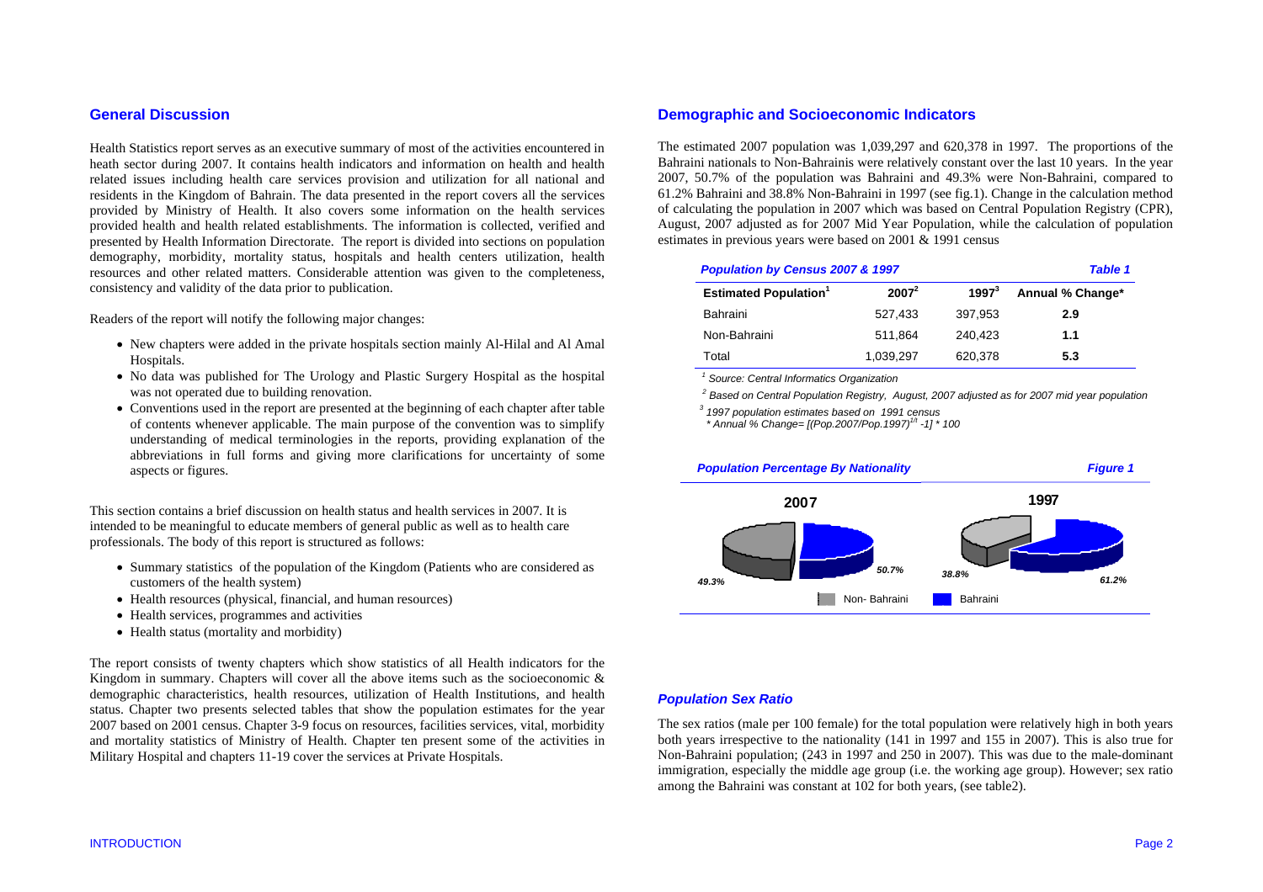## **General Discussion**

Health Statistics report serves as an executive summary of most of the activities encountered in heath sector during 2007. It contains health indicators and information on health and health related issues including health care services provision and utilization for all national and residents in the Kingdom of Bahrain. The data presented in the report covers all the services provided by Ministry of Health. It also covers some information on the health services provided health and health related establishments. The information is collected, verified and presented by Health Information Directorate. The report is divided into sections on population demography, morbidity, mortality status, hospitals and health centers utilization, health resources and other related matters. Considerable attention was given to the completeness, consistency and validity of the data prior to publication.

Readers of the report will notify the following major changes:

- New chapters were added in the private hospitals section mainly Al-Hilal and Al Amal Hospitals.
- No data was published for The Urology and Plastic Surgery Hospital as the hospital was not operated due to building renovation.
- Conventions used in the report are presented at the beginning of each chapter after table of contents whenever applicable. The main purpose of the convention was to simplify understanding of medical terminologies in the reports, providing explanation of the abbreviations in full forms and giving more clarifications for uncertainty of some aspects or figures.

This section contains a brief discussion on health status and health services in 2007. It is intended to be meaningful to educate members of general public as well as to health care professionals. The body of this report is structured as follows:

- Summary statistics of the population of the Kingdom (Patients who are considered as customers of the health system)
- Health resources (physical, financial, and human resources)
- Health services, programmes and activities
- Health status (mortality and morbidity)

The report consists of twenty chapters which show statistics of all Health indicators for the Kingdom in summary. Chapters will cover all the above items such as the socioeconomic  $\&$ demographic characteristics, health resources, utilization of Health Institutions, and health status. Chapter two presents selected tables that show the population estimates for the year 2007 based on 2001 census. Chapter 3-9 focus on resources, facilities services, vital, morbidity and mortality statistics of Ministry of Health. Chapter ten present some of the activities in Military Hospital and chapters 11-19 cover the services at Private Hospitals.

# **Demographic and Socioeconomic Indicators**

The estimated 2007 population was 1,039,297 and 620,378 in 1997. The proportions of the Bahraini nationals to Non-Bahrainis were relatively constant over the last 10 years. In the year 2007, 50.7% of the population was Bahraini and 49.3% were Non-Bahraini, compared to 61.2% Bahraini and 38.8% Non-Bahraini in 1997 (see fig.1). Change in the calculation method of calculating the population in 2007 which was based on Central Population Registry (CPR), August, 2007 adjusted as for 2007 Mid Year Population, while the calculation of population estimates in previous years were based on 2001 & 1991 census

| Population by Census 2007 & 1997        | <b>Table 1</b> |          |                  |
|-----------------------------------------|----------------|----------|------------------|
| <b>Estimated Population<sup>1</sup></b> | $2007^2$       | $1997^3$ | Annual % Change* |
| Bahraini                                | 527,433        | 397,953  | 2.9              |
| Non-Bahraini                            | 511.864        | 240.423  | 1.1              |
| Total                                   | 1.039.297      | 620,378  | 5.3              |

 *1 Source: Central Informatics Organization* 

*2 Based on Central Population Registry, August, 2007 adjusted as for 2007 mid year population* 

*3 1997 population estimates based on 1991 census* 

 *\* Annual % Change= [(Pop.2007/Pop.1997)1/t -1] \* 100* 



## *Population Sex Ratio*

The sex ratios (male per 100 female) for the total population were relatively high in both years both years irrespective to the nationality (141 in 1997 and 155 in 2007). This is also true for Non-Bahraini population; (243 in 1997 and 250 in 2007). This was due to the male-dominant immigration, especially the middle age group (i.e. the working age group). However; sex ratio among the Bahraini was constant at 102 for both years, (see table2).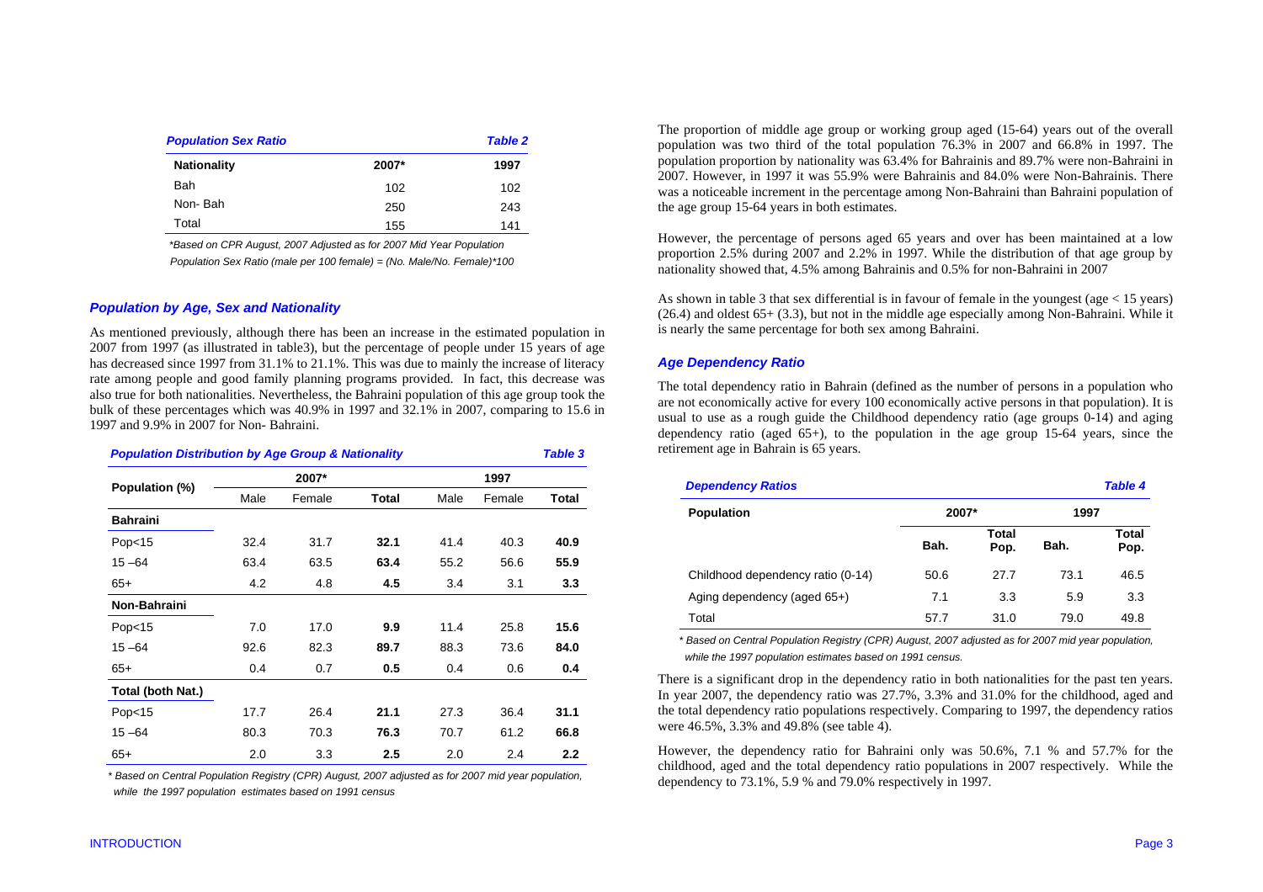| <b>Population Sex Ratio</b> |       | <b>Table 2</b> |
|-----------------------------|-------|----------------|
| <b>Nationality</b>          | 2007* | 1997           |
| Bah                         | 102   | 102            |
| Non-Bah                     | 250   | 243            |
| Total                       | 155   | 141            |

 *\*Based on CPR August, 2007 Adjusted as for 2007 Mid Year Population* 

 *Population Sex Ratio (male per 100 female) = (No. Male/No. Female)\*100* 

## *Population by Age, Sex and Nationality*

As mentioned previously, although there has been an increase in the estimated population in 2007 from 1997 (as illustrated in table3), but the percentage of people under 15 years of age has decreased since 1997 from 31.1% to 21.1%. This was due to mainly the increase of literacy rate among people and good family planning programs provided. In fact, this decrease was also true for both nationalities. Nevertheless, the Bahraini population of this age group took the bulk of these percentages which was 40.9% in 1997 and 32.1% in 2007, comparing to 15.6 in 1997 and 9.9% in 2007 for Non- Bahraini.

| <b>Population Distribution by Age Group &amp; Nationality</b> |      |        |              |      |        |       |
|---------------------------------------------------------------|------|--------|--------------|------|--------|-------|
| Population (%)                                                |      | 2007*  |              |      | 1997   |       |
|                                                               | Male | Female | <b>Total</b> | Male | Female | Total |
| <b>Bahraini</b>                                               |      |        |              |      |        |       |
| Pop $<$ 15                                                    | 32.4 | 31.7   | 32.1         | 41.4 | 40.3   | 40.9  |
| $15 - 64$                                                     | 63.4 | 63.5   | 63.4         | 55.2 | 56.6   | 55.9  |
| $65+$                                                         | 4.2  | 4.8    | 4.5          | 3.4  | 3.1    | 3.3   |
| Non-Bahraini                                                  |      |        |              |      |        |       |
| Pop <sub>15</sub>                                             | 7.0  | 17.0   | 9.9          | 11.4 | 25.8   | 15.6  |
| $15 - 64$                                                     | 92.6 | 82.3   | 89.7         | 88.3 | 73.6   | 84.0  |
| $65+$                                                         | 0.4  | 0.7    | 0.5          | 0.4  | 0.6    | 0.4   |
| Total (both Nat.)                                             |      |        |              |      |        |       |
| Pop <sub>15</sub>                                             | 17.7 | 26.4   | 21.1         | 27.3 | 36.4   | 31.1  |
| $15 - 64$                                                     | 80.3 | 70.3   | 76.3         | 70.7 | 61.2   | 66.8  |
| $65+$                                                         | 2.0  | 3.3    | 2.5          | 2.0  | 2.4    | 2.2   |

 *\* Based on Central Population Registry (CPR) August, 2007 adjusted as for 2007 mid year population, while the 1997 population estimates based on 1991 census* 

The proportion of middle age group or working group aged (15-64) years out of the overall population was two third of the total population 76.3% in 2007 and 66.8% in 1997. The population proportion by nationality was 63.4% for Bahrainis and 89.7% were non-Bahraini in 2007. However, in 1997 it was 55.9% were Bahrainis and 84.0% were Non-Bahrainis. There was a noticeable increment in the percentage among Non-Bahraini than Bahraini population of the age group 15-64 years in both estimates.

However, the percentage of persons aged 65 years and over has been maintained at a low proportion 2.5% during 2007 and 2.2% in 1997. While the distribution of that age group by nationality showed that, 4.5% among Bahrainis and 0.5% for non-Bahraini in 2007

As shown in table 3 that sex differential is in favour of female in the youngest (age  $<$  15 years) (26.4) and oldest 65+ (3.3), but not in the middle age especially among Non-Bahraini. While it is nearly the same percentage for both sex among Bahraini.

#### *Age Dependency Ratio*

The total dependency ratio in Bahrain (defined as the number of persons in a population who are not economically active for every 100 economically active persons in that population). It is usual to use as a rough guide the Childhood dependency ratio (age groups 0-14) and aging dependency ratio (aged  $65+$ ), to the population in the age group 15-64 years, since the retirement age in Bahrain is 65 years.

| <b>Dependency Ratios</b>          |       |               |      | Table 4       |
|-----------------------------------|-------|---------------|------|---------------|
| <b>Population</b>                 | 2007* |               |      | 1997          |
|                                   | Bah.  | Total<br>Pop. | Bah. | Total<br>Pop. |
| Childhood dependency ratio (0-14) | 50.6  | 27.7          | 73.1 | 46.5          |
| Aging dependency (aged 65+)       | 7.1   | 3.3           | 5.9  | 3.3           |
| Total                             | 57.7  | 31.0          | 79.0 | 49.8          |

 *\* Based on Central Population Registry (CPR) August, 2007 adjusted as for 2007 mid year population, while the 1997 population estimates based on 1991 census.* 

There is a significant drop in the dependency ratio in both nationalities for the past ten years. In year 2007, the dependency ratio was 27.7%, 3.3% and 31.0% for the childhood, aged and the total dependency ratio populations respectively. Comparing to 1997, the dependency ratios were 46.5%, 3.3% and 49.8% (see table 4).

However, the dependency ratio for Bahraini only was 50.6%, 7.1 % and 57.7% for the childhood, aged and the total dependency ratio populations in 2007 respectively. While the dependency to 73.1%, 5.9 % and 79.0% respectively in 1997.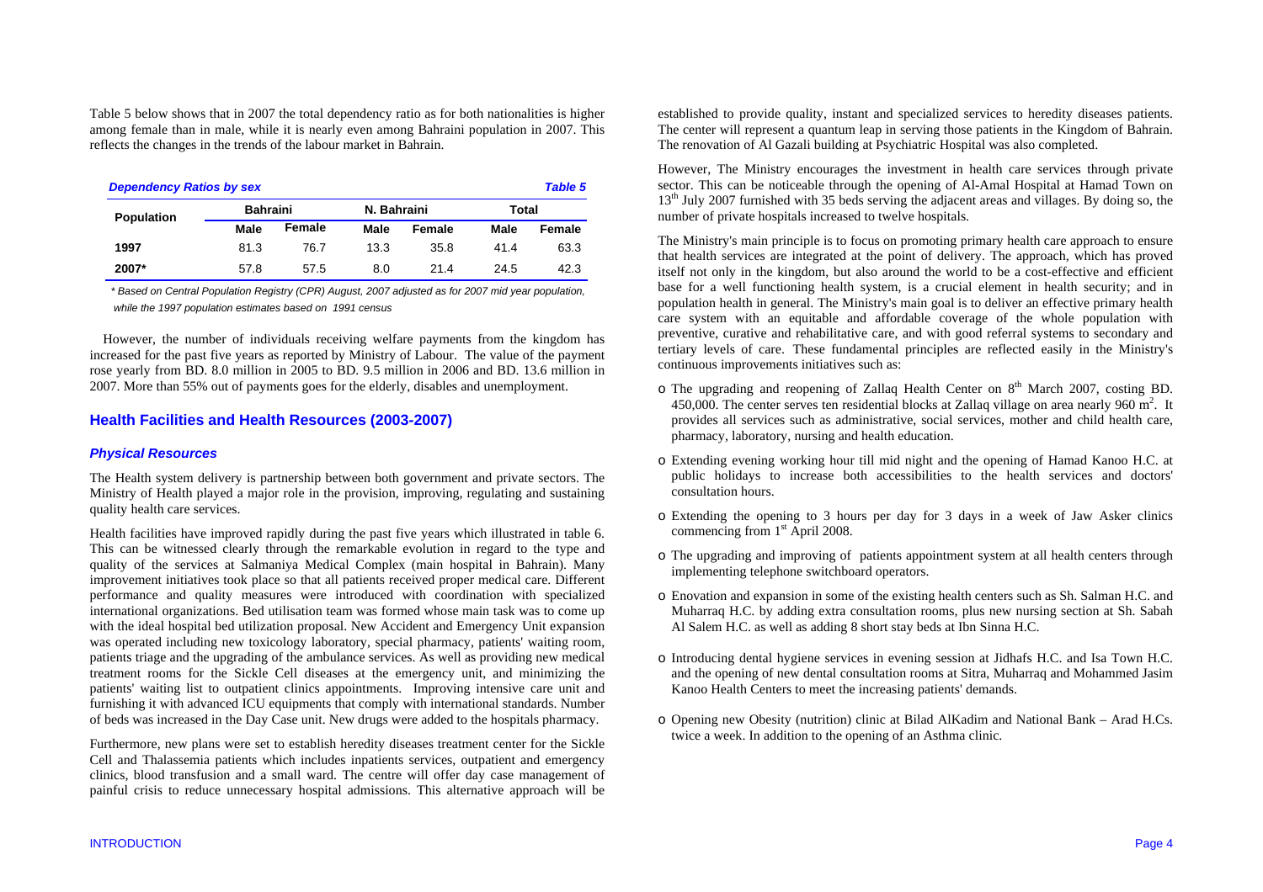Table 5 below shows that in 2007 the total dependency ratio as for both nationalities is higher among female than in male, while it is nearly even among Bahraini population in 2007. This reflects the changes in the trends of the labour market in Bahrain.

| <b>Dependency Ratios by sex</b><br><b>Table 5</b> |                 |        |             |        |       |        |  |
|---------------------------------------------------|-----------------|--------|-------------|--------|-------|--------|--|
| <b>Population</b>                                 | <b>Bahraini</b> |        | N. Bahraini |        | Total |        |  |
|                                                   | Male            | Female | Male        | Female | Male  | Female |  |
| 1997                                              | 81.3            | 76.7   | 13.3        | 35.8   | 41.4  | 63.3   |  |
| 2007*                                             | 57.8            | 57.5   | 8.0         | 21.4   | 24.5  | 42.3   |  |

 *\* Based on Central Population Registry (CPR) August, 2007 adjusted as for 2007 mid year population, while the 1997 population estimates based on 1991 census* 

However, the number of individuals receiving welfare payments from the kingdom has increased for the past five years as reported by Ministry of Labour. The value of the payment rose yearly from BD. 8.0 million in 2005 to BD. 9.5 million in 2006 and BD. 13.6 million in 2007. More than 55% out of payments goes for the elderly, disables and unemployment.

## **Health Facilities and Health Resources (2003-2007)**

## *Physical Resources*

The Health system delivery is partnership between both government and private sectors. The Ministry of Health played a major role in the provision, improving, regulating and sustaining quality health care services.

Health facilities have improved rapidly during the past five years which illustrated in table 6. This can be witnessed clearly through the remarkable evolution in regard to the type and quality of the services at Salmaniya Medical Complex (main hospital in Bahrain). Many improvement initiatives took place so that all patients received proper medical care. Different performance and quality measures were introduced with coordination with specialized international organizations. Bed utilisation team was formed whose main task was to come up with the ideal hospital bed utilization proposal. New Accident and Emergency Unit expansion was operated including new toxicology laboratory, special pharmacy, patients' waiting room, patients triage and the upgrading of the ambulance services. As well as providing new medical treatment rooms for the Sickle Cell diseases at the emergency unit, and minimizing the patients' waiting list to outpatient clinics appointments. Improving intensive care unit and furnishing it with advanced ICU equipments that comply with international standards. Number of beds was increased in the Day Case unit. New drugs were added to the hospitals pharmacy.

Furthermore, new plans were set to establish heredity diseases treatment center for the Sickle Cell and Thalassemia patients which includes inpatients services, outpatient and emergency clinics, blood transfusion and a small ward. The centre will offer day case management of painful crisis to reduce unnecessary hospital admissions. This alternative approach will be established to provide quality, instant and specialized services to heredity diseases patients. The center will represent a quantum leap in serving those patients in the Kingdom of Bahrain. The renovation of Al Gazali building at Psychiatric Hospital was also completed.

However, The Ministry encourages the investment in health care services through private sector. This can be noticeable through the opening of Al-Amal Hospital at Hamad Town on  $13<sup>th</sup>$  July 2007 furnished with 35 beds serving the adjacent areas and villages. By doing so, the number of private hospitals increased to twelve hospitals.

The Ministry's main principle is to focus on promoting primary health care approach to ensure that health services are integrated at the point of delivery. The approach, which has proved itself not only in the kingdom, but also around the world to be a cost-effective and efficient base for a well functioning health system, is a crucial element in health security; and in population health in general. The Ministry's main goal is to deliver an effective primary health care system with an equitable and affordable coverage of the whole population with preventive, curative and rehabilitative care, and with good referral systems to secondary and tertiary levels of care. These fundamental principles are reflected easily in the Ministry's continuous improvements initiatives such as:

- o The upgrading and reopening of Zallaq Health Center on 8<sup>th</sup> March 2007, costing BD. 450,000. The center serves ten residential blocks at Zallaq village on area nearly 960  $m^2$ . It provides all services such as administrative, social services, mother and child health care, pharmacy, laboratory, nursing and health education.
- o Extending evening working hour till mid night and the opening of Hamad Kanoo H.C. at public holidays to increase both accessibilities to the health services and doctors' consultation hours.
- o Extending the opening to 3 hours per day for 3 days in a week of Jaw Asker clinics commencing from 1<sup>st</sup> April 2008.
- o The upgrading and improving of patients appointment system at all health centers through implementing telephone switchboard operators.
- o Enovation and expansion in some of the existing health centers such as Sh. Salman H.C. and Muharraq H.C. by adding extra consultation rooms, plus new nursing section at Sh. Sabah Al Salem H.C. as well as adding 8 short stay beds at Ibn Sinna H.C.
- o Introducing dental hygiene services in evening session at Jidhafs H.C. and Isa Town H.C. and the opening of new dental consultation rooms at Sitra, Muharraq and Mohammed Jasim Kanoo Health Centers to meet the increasing patients' demands.
- o Opening new Obesity (nutrition) clinic at Bilad AlKadim and National Bank Arad H.Cs. twice a week. In addition to the opening of an Asthma clinic.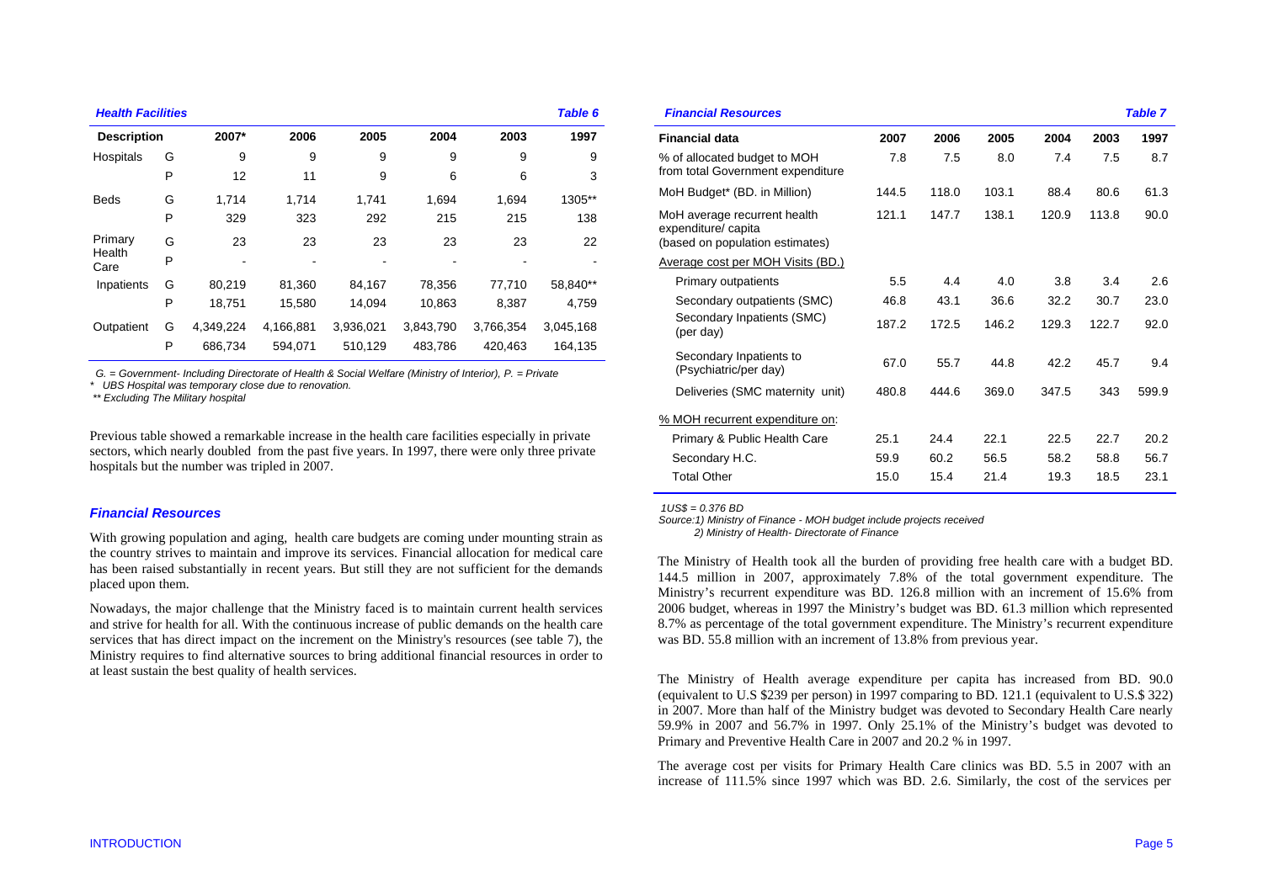#### *Health Facilities Table 6*

| <b>Description</b> |   | 2007*     | 2006      | 2005      | 2004      | 2003      | 1997      |
|--------------------|---|-----------|-----------|-----------|-----------|-----------|-----------|
| Hospitals          | G | 9         | 9         | 9         | 9         | 9         | 9         |
|                    | P | 12        | 11        | 9         | 6         | 6         | 3         |
| <b>Beds</b>        | G | 1,714     | 1,714     | 1,741     | 1,694     | 1,694     | 1305**    |
|                    | P | 329       | 323       | 292       | 215       | 215       | 138       |
| Primary            | G | 23        | 23        | 23        | 23        | 23        | 22        |
| Health<br>Care     | P |           | -         |           |           |           |           |
| Inpatients         | G | 80,219    | 81,360    | 84,167    | 78,356    | 77.710    | 58,840**  |
|                    | P | 18,751    | 15,580    | 14.094    | 10.863    | 8.387     | 4,759     |
| Outpatient         | G | 4,349,224 | 4.166.881 | 3,936,021 | 3,843,790 | 3.766.354 | 3.045.168 |
|                    | P | 686,734   | 594,071   | 510,129   | 483,786   | 420,463   | 164,135   |

 *G. = Government- Including Directorate of Health & Social Welfare (Ministry of Interior), P. = Private* 

*\* UBS Hospital was temporary close due to renovation.* 

 *\*\* Excluding The Military hospital* 

Previous table showed a remarkable increase in the health care facilities especially in private sectors, which nearly doubled from the past five years. In 1997, there were only three private hospitals but the number was tripled in 2007.

## *Financial Resources*

With growing population and aging, health care budgets are coming under mounting strain as the country strives to maintain and improve its services. Financial allocation for medical care has been raised substantially in recent years. But still they are not sufficient for the demands placed upon them.

Nowadays, the major challenge that the Ministry faced is to maintain current health services and strive for health for all. With the continuous increase of public demands on the health care services that has direct impact on the increment on the Ministry's resources (see table 7), the Ministry requires to find alternative sources to bring additional financial resources in order to at least sustain the best quality of health services.

|       |       |       |       |       | <b>Table 7</b> |
|-------|-------|-------|-------|-------|----------------|
| 2007  | 2006  | 2005  | 2004  | 2003  | 1997           |
| 7.8   | 7.5   | 8.0   | 7.4   | 7.5   | 8.7            |
| 144.5 | 118.0 | 103.1 | 88.4  | 80.6  | 61.3           |
| 121.1 | 147.7 | 138.1 | 120.9 | 113.8 | 90.0           |
|       |       |       |       |       |                |
| 5.5   | 4.4   | 4.0   | 3.8   | 3.4   | 2.6            |
| 46.8  | 43.1  | 36.6  | 32.2  | 30.7  | 23.0           |
| 187.2 | 172.5 | 146.2 | 129.3 | 122.7 | 92.0           |
| 67.0  | 55.7  | 44.8  | 42.2  | 45.7  | 9.4            |
| 480.8 | 444.6 | 369.0 | 347.5 | 343   | 599.9          |
|       |       |       |       |       |                |
| 25.1  | 24.4  | 22.1  | 22.5  | 22.7  | 20.2           |
| 59.9  | 60.2  | 56.5  | 58.2  | 58.8  | 56.7           |
| 15.0  | 15.4  | 21.4  | 19.3  | 18.5  | 23.1           |
|       |       |       |       |       |                |

 *1US\$ = 0.376 BD* 

*Source:1) Ministry of Finance - MOH budget include projects received 2) Ministry of Health- Directorate of Finance* 

The Ministry of Health took all the burden of providing free health care with a budget BD. 144.5 million in 2007, approximately 7.8% of the total government expenditure. The Ministry's recurrent expenditure was BD. 126.8 million with an increment of 15.6% from 2006 budget, whereas in 1997 the Ministry's budget was BD. 61.3 million which represented 8.7% as percentage of the total government expenditure. The Ministry's recurrent expenditure was BD. 55.8 million with an increment of 13.8% from previous year.

The Ministry of Health average expenditure per capita has increased from BD. 90.0 (equivalent to U.S \$239 per person) in 1997 comparing to BD. 121.1 (equivalent to U.S.\$ 322) in 2007. More than half of the Ministry budget was devoted to Secondary Health Care nearly 59.9% in 2007 and 56.7% in 1997. Only 25.1% of the Ministry's budget was devoted to Primary and Preventive Health Care in 2007 and 20.2 % in 1997.

The average cost per visits for Primary Health Care clinics was BD. 5.5 in 2007 with an increase of 111.5% since 1997 which was BD. 2.6. Similarly, the cost of the services per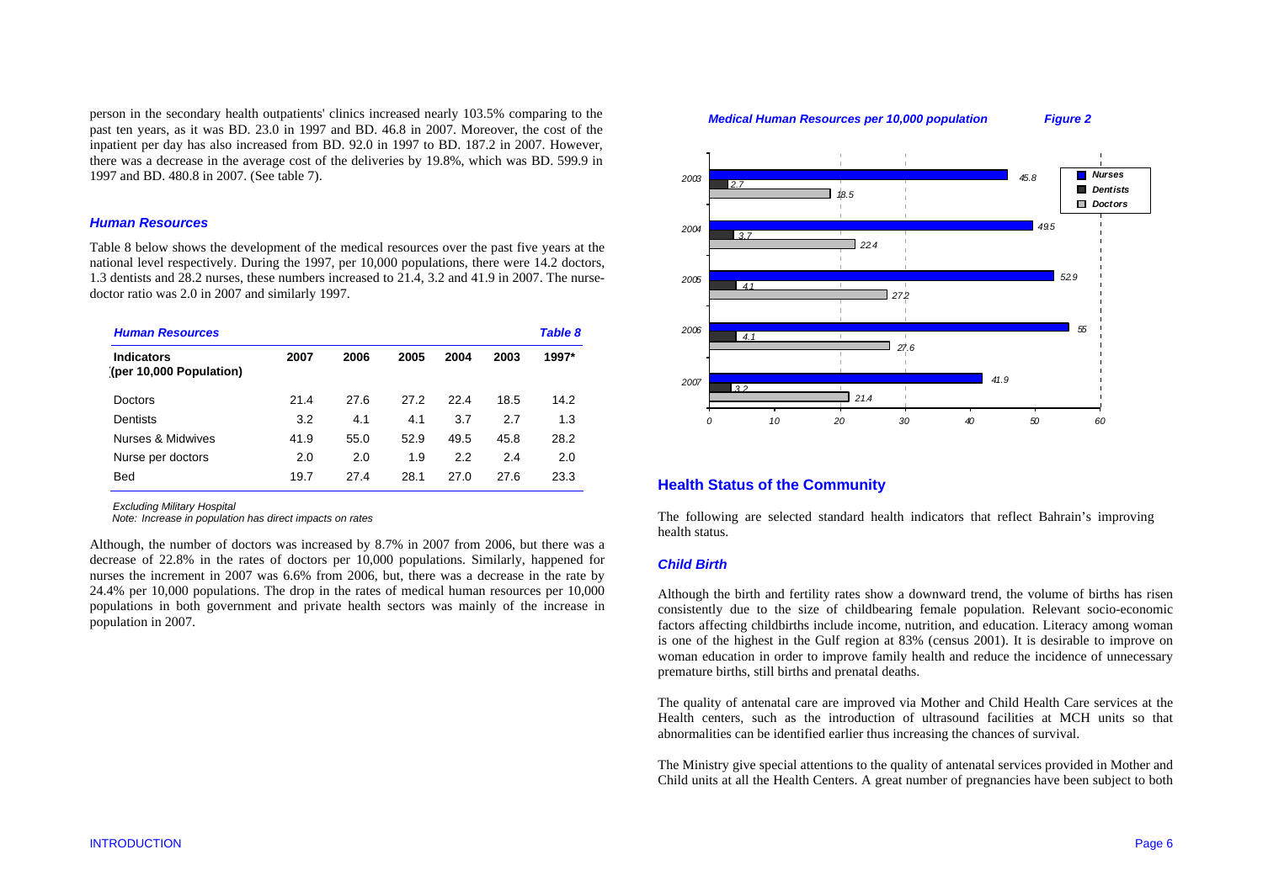person in the secondary health outpatients' clinics increased nearly 103.5% comparing to the past ten years, as it was BD. 23.0 in 1997 and BD. 46.8 in 2007. Moreover, the cost of the inpatient per day has also increased from BD. 92.0 in 1997 to BD. 187.2 in 2007. However, there was a decrease in the average cost of the deliveries by 19.8%, which was BD. 599.9 in 1997 and BD. 480.8 in 2007. (See table 7).

## *Human Resources*

Table 8 below shows the development of the medical resources over the past five years at the national level respectively. During the 1997, per 10,000 populations, there were 14.2 doctors, 1.3 dentists and 28.2 nurses, these numbers increased to 21.4, 3.2 and 41.9 in 2007. The nursedoctor ratio was 2.0 in 2007 and similarly 1997.

| <b>Human Resources</b>                       |      |      |      |      |      |       |
|----------------------------------------------|------|------|------|------|------|-------|
| <b>Indicators</b><br>(per 10,000 Population) | 2007 | 2006 | 2005 | 2004 | 2003 | 1997* |
| Doctors                                      | 21.4 | 27.6 | 27.2 | 22.4 | 18.5 | 14.2  |
| Dentists                                     | 3.2  | 4.1  | 4.1  | 3.7  | 2.7  | 1.3   |
| Nurses & Midwives                            | 41.9 | 55.0 | 52.9 | 49.5 | 45.8 | 28.2  |
| Nurse per doctors                            | 2.0  | 2.0  | 1.9  | 2.2  | 2.4  | 2.0   |
| <b>Bed</b>                                   | 19.7 | 27.4 | 28.1 | 27.0 | 27.6 | 23.3  |

*Excluding Military Hospital* 

*Note: Increase in population has direct impacts on rates* 

Although, the number of doctors was increased by 8.7% in 2007 from 2006, but there was a decrease of 22.8% in the rates of doctors per 10,000 populations. Similarly, happened for nurses the increment in 2007 was 6.6% from 2006, but, there was a decrease in the rate by 24.4% per 10,000 populations. The drop in the rates of medical human resources per 10,000 populations in both government and private health sectors was mainly of the increase in population in 2007.

#### *22.418.527.227.621.43.24.1* $41$ *3.72.741.95552.945.849.50 10 20 30 40 50 602007200620052004<sup>2003</sup> Nurses Dentists Doctors Medical Human Resources per 10,000 population Figure 2*

## **Health Status of the Community**

The following are selected standard health indicators that reflect Bahrain's improving health status.

## *Child Birth*

Although the birth and fertility rates show a downward trend, the volume of births has risen consistently due to the size of childbearing female population. Relevant socio-economic factors affecting childbirths include income, nutrition, and education. Literacy among woman is one of the highest in the Gulf region at 83% (census 2001). It is desirable to improve on woman education in order to improve family health and reduce the incidence of unnecessary premature births, still births and prenatal deaths.

The quality of antenatal care are improved via Mother and Child Health Care services at the Health centers, such as the introduction of ultrasound facilities at MCH units so that abnormalities can be identified earlier thus increasing the chances of survival.

The Ministry give special attentions to the quality of antenatal services provided in Mother and Child units at all the Health Centers. A great number of pregnancies have been subject to both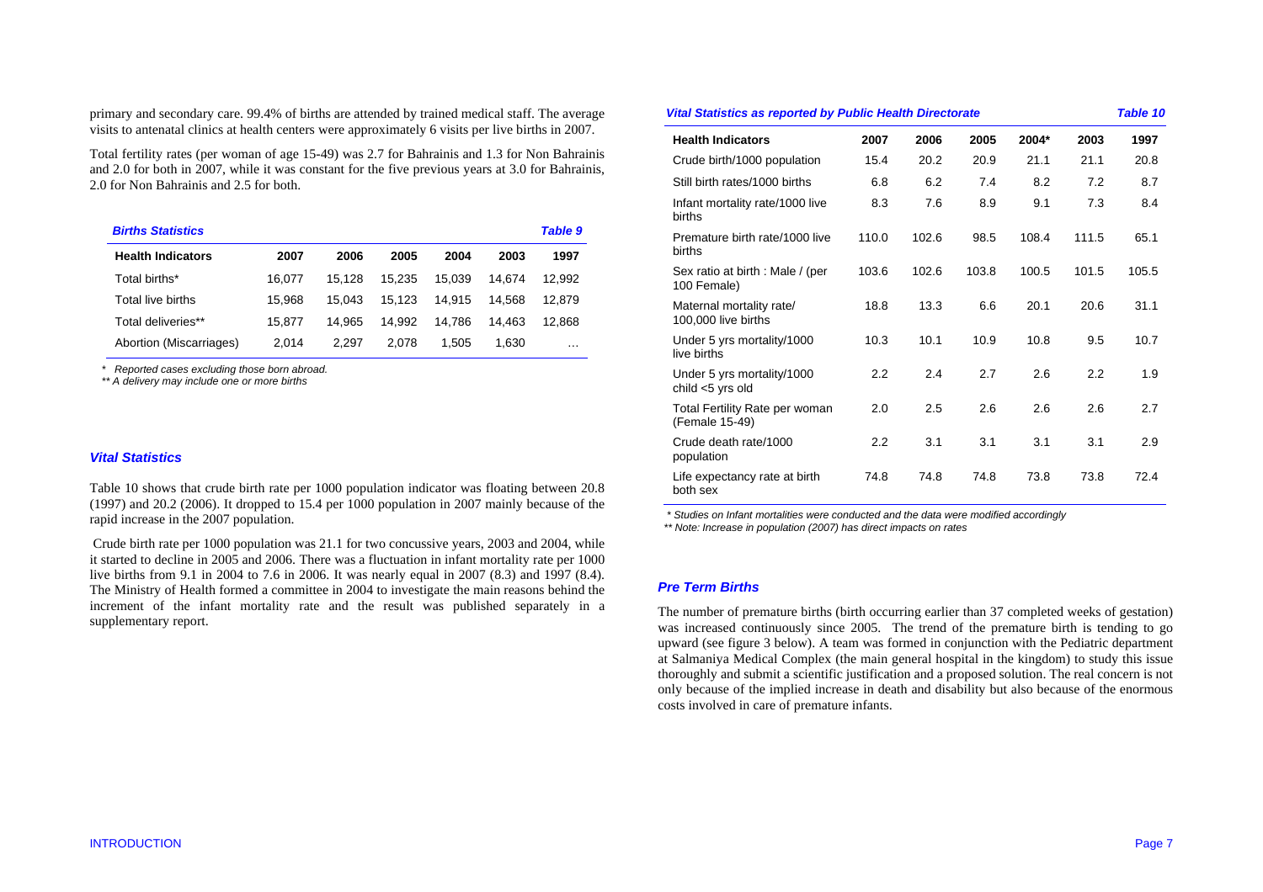primary and secondary care. 99.4% of births are attended by trained medical staff. The average visits to antenatal clinics at health centers were approximately 6 visits per live births in 2007.

Total fertility rates (per woman of age 15-49) was 2.7 for Bahrainis and 1.3 for Non Bahrainis and 2.0 for both in 2007, while it was constant for the five previous years at 3.0 for Bahrainis, 2.0 for Non Bahrainis and 2.5 for both.

| <b>Births Statistics</b> |        |        |        |        |        | <b>Table 9</b> |
|--------------------------|--------|--------|--------|--------|--------|----------------|
| <b>Health Indicators</b> | 2007   | 2006   | 2005   | 2004   | 2003   | 1997           |
| Total births*            | 16.077 | 15.128 | 15.235 | 15.039 | 14.674 | 12.992         |
| Total live births        | 15.968 | 15.043 | 15.123 | 14.915 | 14.568 | 12.879         |
| Total deliveries**       | 15.877 | 14.965 | 14.992 | 14.786 | 14.463 | 12.868         |
| Abortion (Miscarriages)  | 2.014  | 2.297  | 2.078  | 1.505  | 1.630  | $\cdots$       |

 *\* Reported cases excluding those born abroad.* 

 *\*\* A delivery may include one or more births* 

## *Vital Statistics*

Table 10 shows that crude birth rate per 1000 population indicator was floating between 20.8 (1997) and 20.2 (2006). It dropped to 15.4 per 1000 population in 2007 mainly because of the rapid increase in the 2007 population.

 Crude birth rate per 1000 population was 21.1 for two concussive years, 2003 and 2004, while it started to decline in 2005 and 2006. There was a fluctuation in infant mortality rate per 1000 live births from 9.1 in 2004 to 7.6 in 2006. It was nearly equal in 2007 (8.3) and 1997 (8.4). The Ministry of Health formed a committee in 2004 to investigate the main reasons behind the increment of the infant mortality rate and the result was published separately in a supplementary report.

#### *Vital Statistics as reported by Public Health Directorate Table 10*  **Health Indicators 2007 2006 2005 2004\* 2003 1997** Crude birth/1000 population 15.4 20.2 20.9 21.1 21.1 20.8 Still birth rates/1000 births 6.8 6.2 7.4 8.2 7.2 8.7 Infant mortality rate/1000 live births 8.3 7.6 8.9 9.1 7.3 8.4 Premature birth rate/1000 live births 110.0 102.6 98.5 108.4 111.5 65.1 Sex ratio at birth : Male / (per 100 Female) 103.6 102.6 103.8 100.5 101.5 105.5 Maternal mortality rate/ 100,000 live births 18.8 13.3 6.6 20.1 20.6 31.1 Under 5 yrs mortality/1000 live births 10.3 10.1 10.9 10.8 9.5 10.7

2.2 2.4 2.7 2.6 2.2 1.9

2.2 3.1 3.1 3.1 3.1 2.9

74.8 74.8 74.8 73.8 73.8 72.4

2.6 2.7

2.0 2.5 2.6 2.6 2.6

 *\* Studies on Infant mortalities were conducted and the data were modified accordingly* 

 *\*\* Note: Increase in population (2007) has direct impacts on rates* 

## *Pre Term Births*

Under 5 yrs mortality/1000

Total Fertility Rate per woman

child <5 yrs old

(Female 15-49)

population

both sex

Crude death rate/1000

Life expectancy rate at birth

The number of premature births (birth occurring earlier than 37 completed weeks of gestation) was increased continuously since 2005. The trend of the premature birth is tending to go upward (see figure 3 below). A team was formed in conjunction with the Pediatric department at Salmaniya Medical Complex (the main general hospital in the kingdom) to study this issue thoroughly and submit a scientific justification and a proposed solution. The real concern is not only because of the implied increase in death and disability but also because of the enormous costs involved in care of premature infants.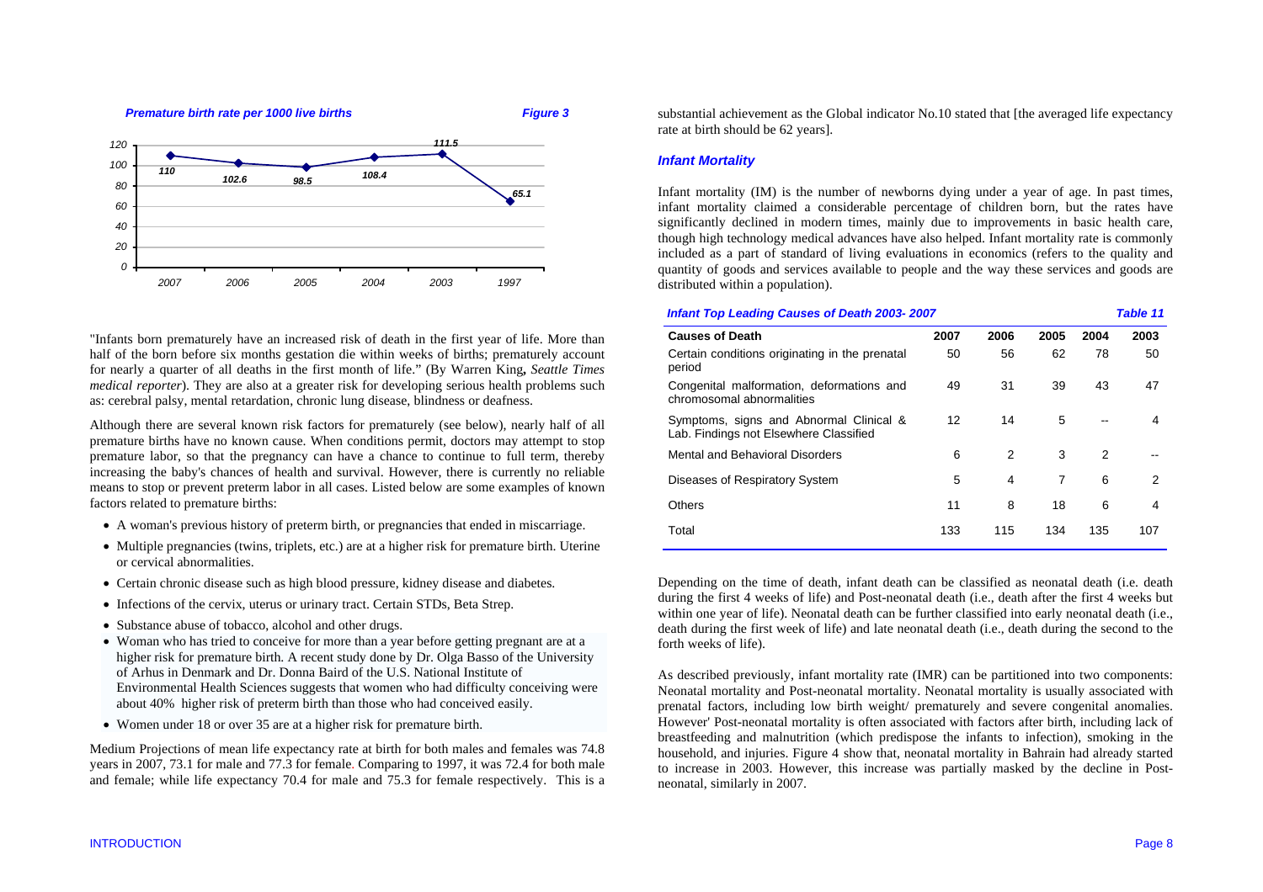

"Infants born prematurely have an increased risk of death in the first year of life. More than half of the born before six months gestation die within weeks of births; prematurely account for nearly a quarter of all deaths in the first month of life." (By Warren King**,** *Seattle Times medical reporter*). They are also at a greater risk for developing serious health problems such as: cerebral palsy, mental retardation, chronic lung disease, blindness or deafness.

Although there are several known risk factors for prematurely (see below), nearly half of all premature births have no known cause. When conditions permit, doctors may attempt to stop premature labor, so that the pregnancy can have a chance to continue to full term, thereby increasing the baby's chances of health and survival. However, there is currently no reliable means to stop or prevent preterm labor in all cases. Listed below are some examples of known factors related to premature births:

- A woman's previous history of preterm birth, or pregnancies that ended in miscarriage.
- Multiple pregnancies (twins, triplets, etc.) are at a higher risk for premature birth. Uterine or cervical abnormalities.
- Certain chronic disease such as high blood pressure, kidney disease and diabetes.
- Infections of the cervix, uterus or urinary tract. Certain STDs, Beta Strep.
- Substance abuse of tobacco, alcohol and other drugs.
- Woman who has tried to conceive for more than a year before getting pregnant are at a higher risk for premature birth. A recent study done by Dr. Olga Basso of the University of Arhus in Denmark and Dr. Donna Baird of the U.S. National Institute of Environmental Health Sciences suggests that women who had difficulty conceiving were about 40% higher risk of preterm birth than those who had conceived easily.
- Women under 18 or over 35 are at a higher risk for premature birth.

Medium Projections of mean life expectancy rate at birth for both males and females was 74.8 years in 2007, 73.1 for male and 77.3 for female. Comparing to 1997, it was 72.4 for both male and female; while life expectancy 70.4 for male and 75.3 for female respectively. This is a substantial achievement as the Global indicator No.10 stated that [the averaged life expectancy rate at birth should be 62 years].

## *Infant Mortality*

Infant mortality (IM) is the number of newborns dying under a year of age. In past times, infant mortality claimed a considerable percentage of children born, but the rates have significantly declined in modern times, mainly due to improvements in basic health care, though high technology medical advances have also helped. Infant mortality rate is commonly included as a part of standard of living evaluations in economics (refers to the quality and quantity of goods and services available to people and the way these services and goods are distributed within a population).

*Infant Top Leading Causes of Death 2003- 2007 Table 11* 

| <b>Causes of Death</b>                                                            | 2007 | 2006          | 2005 | 2004 | 2003 |
|-----------------------------------------------------------------------------------|------|---------------|------|------|------|
| Certain conditions originating in the prenatal<br>period                          | 50   | 56            | 62   | 78   | 50   |
| Congenital malformation, deformations and<br>chromosomal abnormalities            | 49   | 31            | 39   | 43   | 47   |
| Symptoms, signs and Abnormal Clinical &<br>Lab. Findings not Elsewhere Classified | 12   | 14            | 5    |      | 4    |
| Mental and Behavioral Disorders                                                   | 6    | $\mathcal{P}$ | 3    | 2    |      |
| Diseases of Respiratory System                                                    | 5    | 4             | 7    | 6    | 2    |
| Others                                                                            | 11   | 8             | 18   | 6    | 4    |
| Total                                                                             | 133  | 115           | 134  | 135  | 107  |

Depending on the time of death, infant death can be classified as neonatal death (i.e. death during the first 4 weeks of life) and Post-neonatal death (i.e., death after the first 4 weeks but within one year of life). Neonatal death can be further classified into early neonatal death (i.e., death during the first week of life) and late neonatal death (i.e., death during the second to the forth weeks of life).

As described previously, infant mortality rate (IMR) can be partitioned into two components: Neonatal mortality and Post-neonatal mortality. Neonatal mortality is usually associated with prenatal factors, including low birth weight/ prematurely and severe congenital anomalies. However' Post-neonatal mortality is often associated with factors after birth, including lack of breastfeeding and malnutrition (which predispose the infants to infection), smoking in the household, and injuries. Figure 4 show that, neonatal mortality in Bahrain had already started to increase in 2003. However, this increase was partially masked by the decline in Postneonatal, similarly in 2007.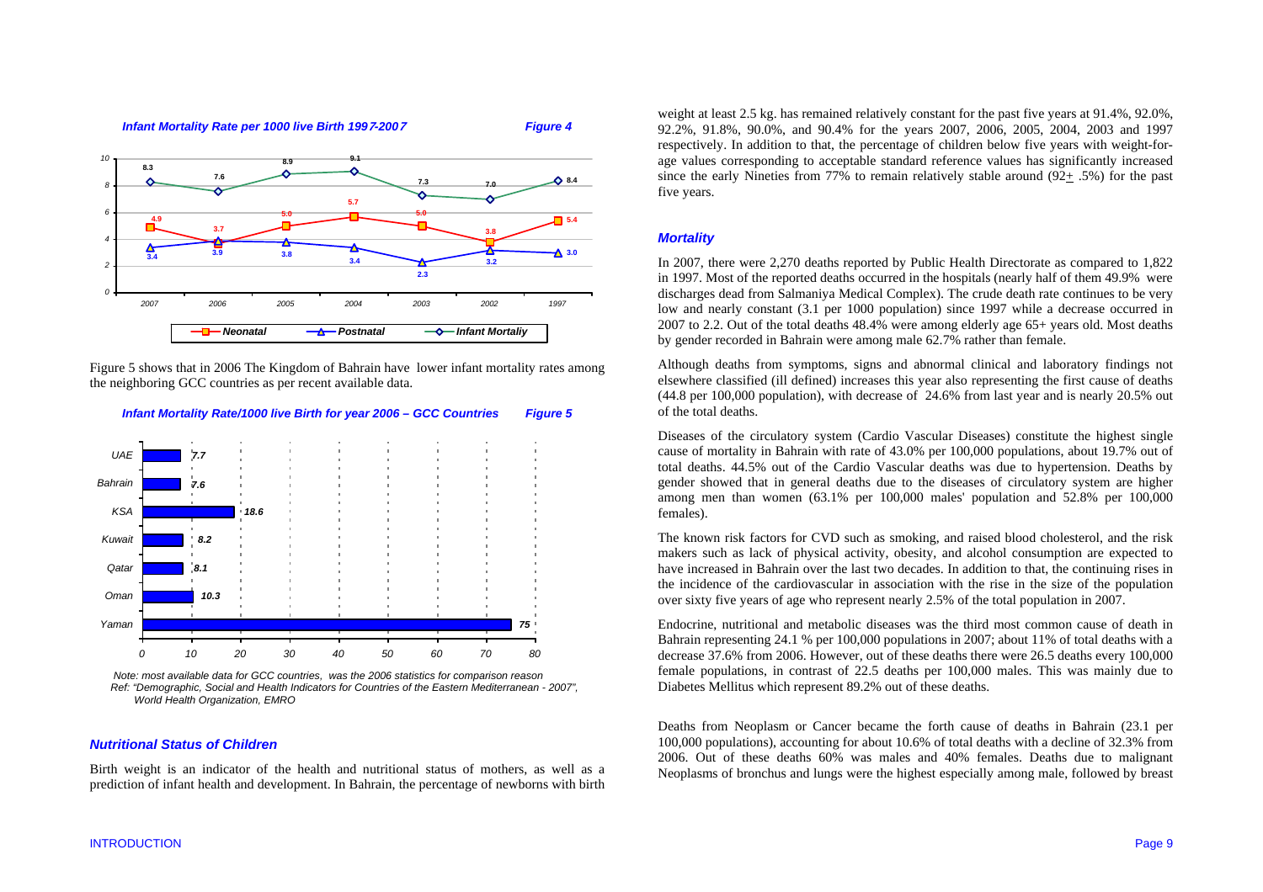#### *Infant Mortality Rate per 1000 live Birth 199***7***-200***7** *Figure 4*

**3.9 3.8 3.4**

*18.6*

*7.67.7* **5.0**

**8.9**

**3.7**

*Neonatal*

**7.6**

**4.9**

**8.3**

**3.4**

*KSABahrainUAE*





**5.7**

*2007 2006 2005 2004 2003 2002 1997*

**9.1**

**5.0**

**7.3**

**7.0**

**2.3**

*Postnatal Infant Mortaliy*

**3.8**

**3.2**





### *Nutritional Status of Children*

Birth weight is an indicator of the health and nutritional status of mothers, as well as a prediction of infant health and development. In Bahrain, the percentage of newborns with birth weight at least 2.5 kg. has remained relatively constant for the past five years at 91.4%, 92.0%, 92.2%, 91.8%, 90.0%, and 90.4% for the years 2007, 2006, 2005, 2004, 2003 and 1997 respectively. In addition to that, the percentage of children below five years with weight-forage values corresponding to acceptable standard reference values has significantly increased since the early Nineties from 77% to remain relatively stable around  $(92+.5%)$  for the past five years.

## *Mortality*

**5.4**

**8.4**

**3.0**

In 2007, there were 2,270 deaths reported by Public Health Directorate as compared to 1,822 in 1997. Most of the reported deaths occurred in the hospitals (nearly half of them 49.9% were discharges dead from Salmaniya Medical Complex). The crude death rate continues to be very low and nearly constant (3.1 per 1000 population) since 1997 while a decrease occurred in 2007 to 2.2. Out of the total deaths 48.4% were among elderly age 65+ years old. Most deaths by gender recorded in Bahrain were among male 62.7% rather than female.

Although deaths from symptoms, signs and abnormal clinical and laboratory findings not elsewhere classified (ill defined) increases this year also representing the first cause of deaths (44.8 per 100,000 population), with decrease of 24.6% from last year and is nearly 20.5% out of the total deaths.

Diseases of the circulatory system (Cardio Vascular Diseases) constitute the highest single cause of mortality in Bahrain with rate of 43.0% per 100,000 populations, about 19.7% out of total deaths. 44.5% out of the Cardio Vascular deaths was due to hypertension. Deaths by gender showed that in general deaths due to the diseases of circulatory system are higher among men than women (63.1% per 100,000 males' population and 52.8% per 100,000 females).

The known risk factors for CVD such as smoking, and raised blood cholesterol, and the risk makers such as lack of physical activity, obesity, and alcohol consumption are expected to have increased in Bahrain over the last two decades. In addition to that, the continuing rises in the incidence of the cardiovascular in association with the rise in the size of the population over sixty five years of age who represent nearly 2.5% of the total population in 2007.

Endocrine, nutritional and metabolic diseases was the third most common cause of death in Bahrain representing 24.1 % per 100,000 populations in 2007; about 11% of total deaths with a decrease 37.6% from 2006. However, out of these deaths there were 26.5 deaths every 100,000 female populations, in contrast of 22.5 deaths per 100,000 males. This was mainly due to Diabetes Mellitus which represent 89.2% out of these deaths.

Deaths from Neoplasm or Cancer became the forth cause of deaths in Bahrain (23.1 per 100,000 populations), accounting for about 10.6% of total deaths with a decline of 32.3% from 2006. Out of these deaths 60% was males and 40% females. Deaths due to malignant Neoplasms of bronchus and lungs were the highest especially among male, followed by breast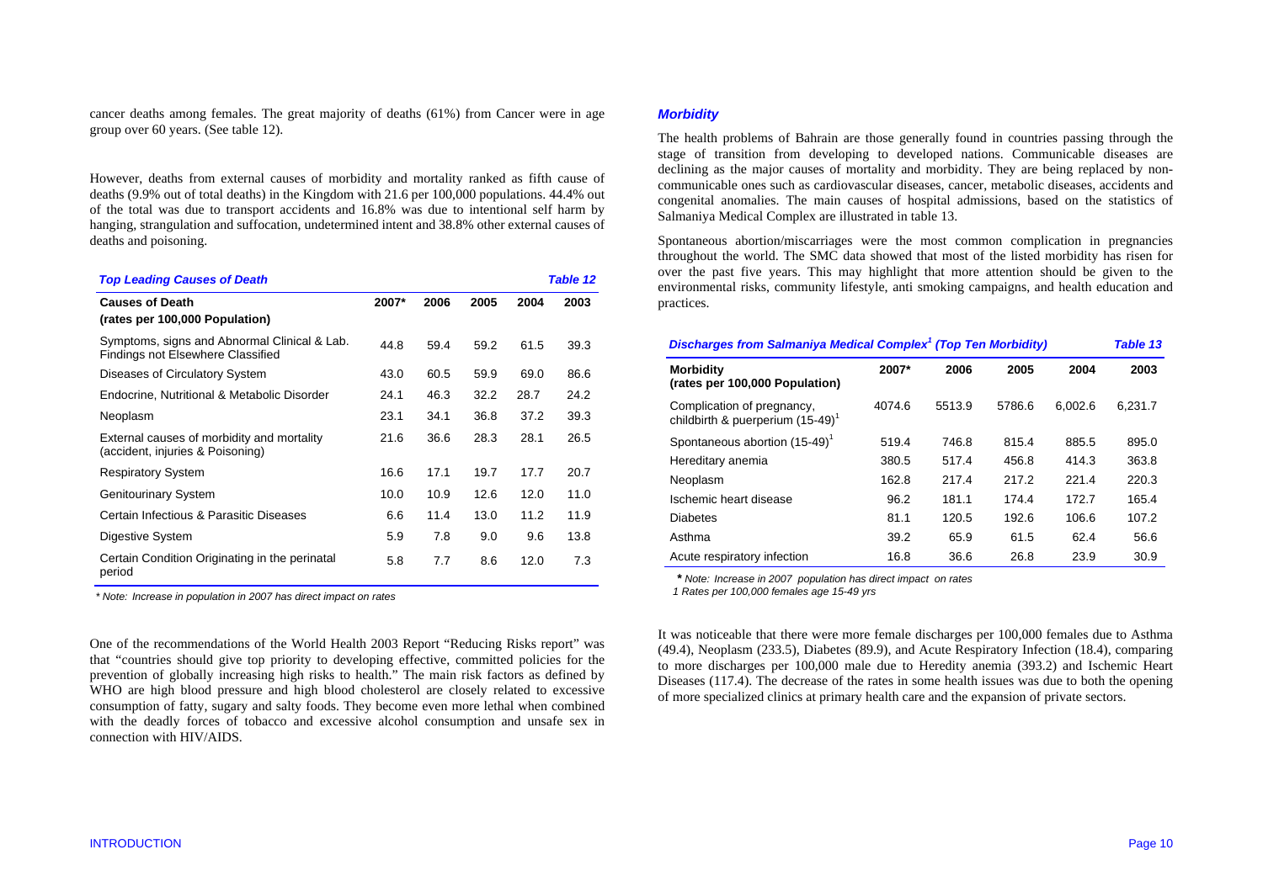cancer deaths among females. The great majority of deaths (61%) from Cancer were in age group over 60 years. (See table 12).

However, deaths from external causes of morbidity and mortality ranked as fifth cause of deaths (9.9% out of total deaths) in the Kingdom with 21.6 per 100,000 populations. 44.4% out of the total was due to transport accidents and 16.8% was due to intentional self harm by hanging, strangulation and suffocation, undetermined intent and 38.8% other external causes of deaths and poisoning.

| <b>Top Leading Causes of Death</b>                                                |       |      |      |      | Table 12 |
|-----------------------------------------------------------------------------------|-------|------|------|------|----------|
| <b>Causes of Death</b><br>(rates per 100,000 Population)                          | 2007* | 2006 | 2005 | 2004 | 2003     |
| Symptoms, signs and Abnormal Clinical & Lab.<br>Findings not Elsewhere Classified | 44.8  | 59.4 | 59.2 | 61.5 | 39.3     |
| Diseases of Circulatory System                                                    | 43.0  | 60.5 | 59.9 | 69.0 | 86.6     |
| Endocrine, Nutritional & Metabolic Disorder                                       | 24.1  | 46.3 | 32.2 | 28.7 | 24.2     |
| Neoplasm                                                                          | 23.1  | 34.1 | 36.8 | 37.2 | 39.3     |
| External causes of morbidity and mortality<br>(accident, injuries & Poisoning)    | 21.6  | 36.6 | 28.3 | 28.1 | 26.5     |
| <b>Respiratory System</b>                                                         | 16.6  | 17.1 | 19.7 | 17.7 | 20.7     |
| <b>Genitourinary System</b>                                                       | 10.0  | 10.9 | 12.6 | 12.0 | 11.0     |
| Certain Infectious & Parasitic Diseases                                           | 6.6   | 11.4 | 13.0 | 11.2 | 11.9     |
| Digestive System                                                                  | 5.9   | 7.8  | 9.0  | 9.6  | 13.8     |
| Certain Condition Originating in the perinatal<br>period                          | 5.8   | 7.7  | 8.6  | 12.0 | 7.3      |

 *\* Note: Increase in population in 2007 has direct impact on rates* 

One of the recommendations of the World Health 2003 Report "Reducing Risks report" was that "countries should give top priority to developing effective, committed policies for the prevention of globally increasing high risks to health." The main risk factors as defined by WHO are high blood pressure and high blood cholesterol are closely related to excessive consumption of fatty, sugary and salty foods. They become even more lethal when combined with the deadly forces of tobacco and excessive alcohol consumption and unsafe sex in connection with HIV/AIDS.

## *Morbidity*

The health problems of Bahrain are those generally found in countries passing through the stage of transition from developing to developed nations. Communicable diseases are declining as the major causes of mortality and morbidity. They are being replaced by noncommunicable ones such as cardiovascular diseases, cancer, metabolic diseases, accidents and congenital anomalies. The main causes of hospital admissions, based on the statistics of Salmaniya Medical Complex are illustrated in table 13.

Spontaneous abortion/miscarriages were the most common complication in pregnancies throughout the world. The SMC data showed that most of the listed morbidity has risen for over the past five years. This may highlight that more attention should be given to the environmental risks, community lifestyle, anti smoking campaigns, and health education and practices.

| <b>Discharges from Salmaniya Medical Complex<sup>1</sup> (Top Ten Morbidity)</b> |        |        |        |         |         |  |  |
|----------------------------------------------------------------------------------|--------|--------|--------|---------|---------|--|--|
| <b>Morbidity</b><br>(rates per 100,000 Population)                               | 2007*  | 2006   | 2005   | 2004    | 2003    |  |  |
| Complication of pregnancy,<br>childbirth & puerperium (15-49) <sup>1</sup>       | 4074.6 | 5513.9 | 5786.6 | 6.002.6 | 6.231.7 |  |  |
| Spontaneous abortion (15-49) <sup>1</sup>                                        | 519.4  | 746.8  | 815.4  | 885.5   | 895.0   |  |  |
| Hereditary anemia                                                                | 380.5  | 517.4  | 456.8  | 414.3   | 363.8   |  |  |
| Neoplasm                                                                         | 162.8  | 217.4  | 217.2  | 221.4   | 220.3   |  |  |
| Ischemic heart disease                                                           | 96.2   | 181.1  | 174.4  | 172.7   | 165.4   |  |  |
| <b>Diabetes</b>                                                                  | 81.1   | 120.5  | 192.6  | 106.6   | 107.2   |  |  |
| Asthma                                                                           | 39.2   | 65.9   | 61.5   | 62.4    | 56.6    |  |  |
| Acute respiratory infection                                                      | 16.8   | 36.6   | 26.8   | 23.9    | 30.9    |  |  |

*\* Note: Increase in 2007 population has direct impact on rates* 

 *1 Rates per 100,000 females age 15-49 yrs*

It was noticeable that there were more female discharges per 100,000 females due to Asthma (49.4), Neoplasm (233.5), Diabetes (89.9), and Acute Respiratory Infection (18.4), comparing to more discharges per 100,000 male due to Heredity anemia (393.2) and Ischemic Heart Diseases (117.4). The decrease of the rates in some health issues was due to both the opening of more specialized clinics at primary health care and the expansion of private sectors.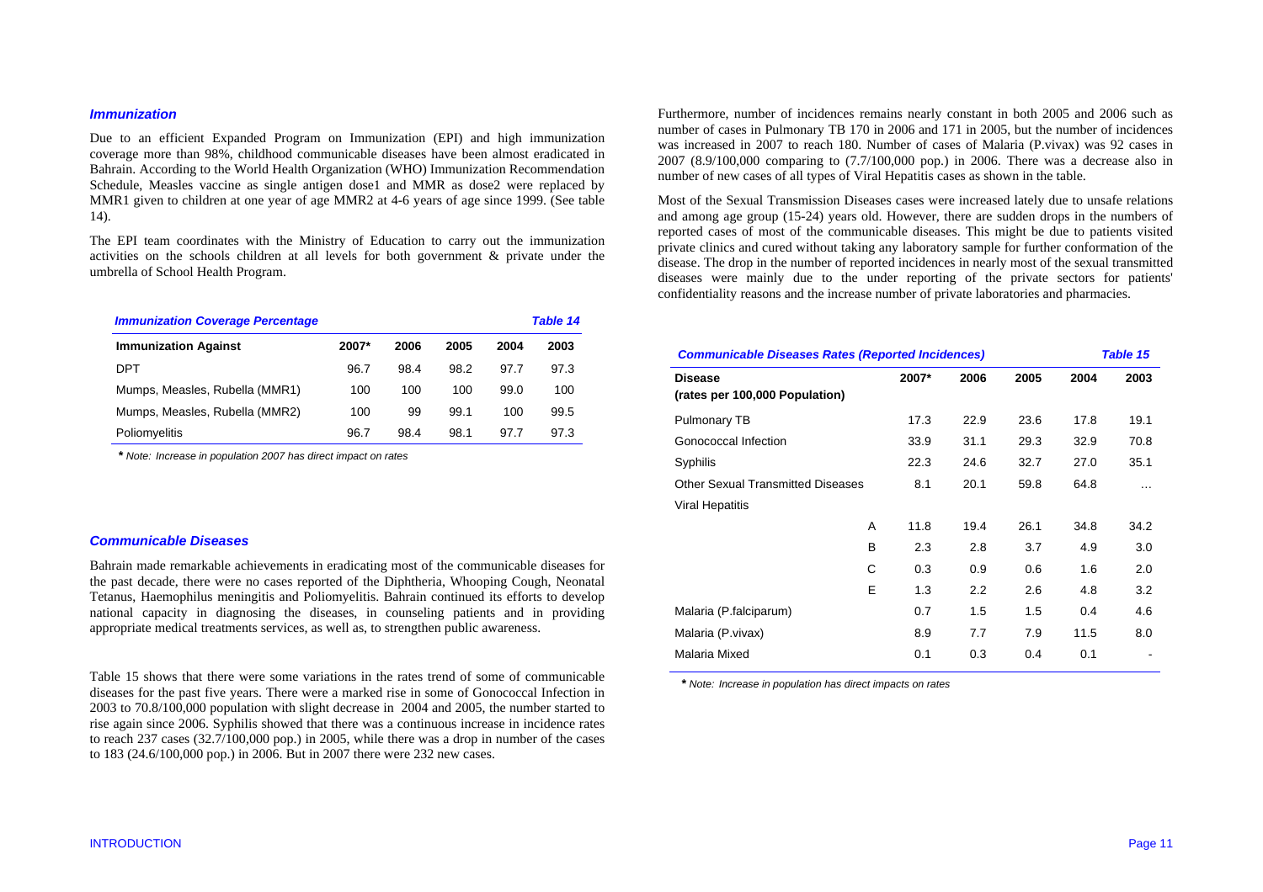## *Immunization*

Due to an efficient Expanded Program on Immunization (EPI) and high immunization coverage more than 98%, childhood communicable diseases have been almost eradicated in Bahrain. According to the World Health Organization (WHO) Immunization Recommendation Schedule, Measles vaccine as single antigen dose1 and MMR as dose2 were replaced by MMR1 given to children at one year of age MMR2 at 4-6 years of age since 1999. (See table 14).

The EPI team coordinates with the Ministry of Education to carry out the immunization activities on the schools children at all levels for both government & private under the umbrella of School Health Program.

| <b>Immunization Coverage Percentage</b> |       |      |      |      | <b>Table 14</b> |
|-----------------------------------------|-------|------|------|------|-----------------|
| <b>Immunization Against</b>             | 2007* | 2006 | 2005 | 2004 | 2003            |
| DPT                                     | 96.7  | 98.4 | 98.2 | 97.7 | 97.3            |
| Mumps, Measles, Rubella (MMR1)          | 100   | 100  | 100  | 99.0 | 100             |
| Mumps, Measles, Rubella (MMR2)          | 100   | 99   | 99.1 | 100  | 99.5            |
| Poliomyelitis                           | 96.7  | 98.4 | 98.1 | 97.7 | 97.3            |

*\* Note: Increase in population 2007 has direct impact on rates* 

## *Communicable Diseases*

Bahrain made remarkable achievements in eradicating most of the communicable diseases for the past decade, there were no cases reported of the Diphtheria, Whooping Cough, Neonatal Tetanus, Haemophilus meningitis and Poliomyelitis. Bahrain continued its efforts to develop national capacity in diagnosing the diseases, in counseling patients and in providing appropriate medical treatments services, as well as, to strengthen public awareness.

Table 15 shows that there were some variations in the rates trend of some of communicable diseases for the past five years. There were a marked rise in some of Gonococcal Infection in 2003 to 70.8/100,000 population with slight decrease in 2004 and 2005, the number started to rise again since 2006. Syphilis showed that there was a continuous increase in incidence rates to reach 237 cases (32.7/100,000 pop.) in 2005, while there was a drop in number of the cases to 183 (24.6/100,000 pop.) in 2006. But in 2007 there were 232 new cases.

Furthermore, number of incidences remains nearly constant in both 2005 and 2006 such as number of cases in Pulmonary TB 170 in 2006 and 171 in 2005, but the number of incidences was increased in 2007 to reach 180. Number of cases of Malaria (P.vivax) was 92 cases in 2007 (8.9/100,000 comparing to (7.7/100,000 pop.) in 2006. There was a decrease also in number of new cases of all types of Viral Hepatitis cases as shown in the table.

Most of the Sexual Transmission Diseases cases were increased lately due to unsafe relations and among age group (15-24) years old. However, there are sudden drops in the numbers of reported cases of most of the communicable diseases. This might be due to patients visited private clinics and cured without taking any laboratory sample for further conformation of the disease. The drop in the number of reported incidences in nearly most of the sexual transmitted diseases were mainly due to the under reporting of the private sectors for patients' confidentiality reasons and the increase number of private laboratories and pharmacies.

| <b>Communicable Diseases Rates (Reported Incidences)</b><br><b>Table 15</b> |       |      |      |      |          |  |
|-----------------------------------------------------------------------------|-------|------|------|------|----------|--|
| <b>Disease</b>                                                              | 2007* | 2006 | 2005 | 2004 | 2003     |  |
| (rates per 100,000 Population)                                              |       |      |      |      |          |  |
| Pulmonary TB                                                                | 17.3  | 22.9 | 23.6 | 17.8 | 19.1     |  |
| Gonococcal Infection                                                        | 33.9  | 31.1 | 29.3 | 32.9 | 70.8     |  |
| Syphilis                                                                    | 22.3  | 24.6 | 32.7 | 27.0 | 35.1     |  |
| Other Sexual Transmitted Diseases                                           | 8.1   | 20.1 | 59.8 | 64.8 | $\cdots$ |  |
| <b>Viral Hepatitis</b>                                                      |       |      |      |      |          |  |
| A                                                                           | 11.8  | 19.4 | 26.1 | 34.8 | 34.2     |  |
| B                                                                           | 2.3   | 2.8  | 3.7  | 4.9  | 3.0      |  |
| C                                                                           | 0.3   | 0.9  | 0.6  | 1.6  | 2.0      |  |
| E                                                                           | 1.3   | 2.2  | 2.6  | 4.8  | 3.2      |  |
| Malaria (P.falciparum)                                                      | 0.7   | 1.5  | 1.5  | 0.4  | 4.6      |  |
| Malaria (P.vivax)                                                           | 8.9   | 7.7  | 7.9  | 11.5 | 8.0      |  |
| Malaria Mixed                                                               | 0.1   | 0.3  | 0.4  | 0.1  |          |  |

*\* Note: Increase in population has direct impacts on rates*